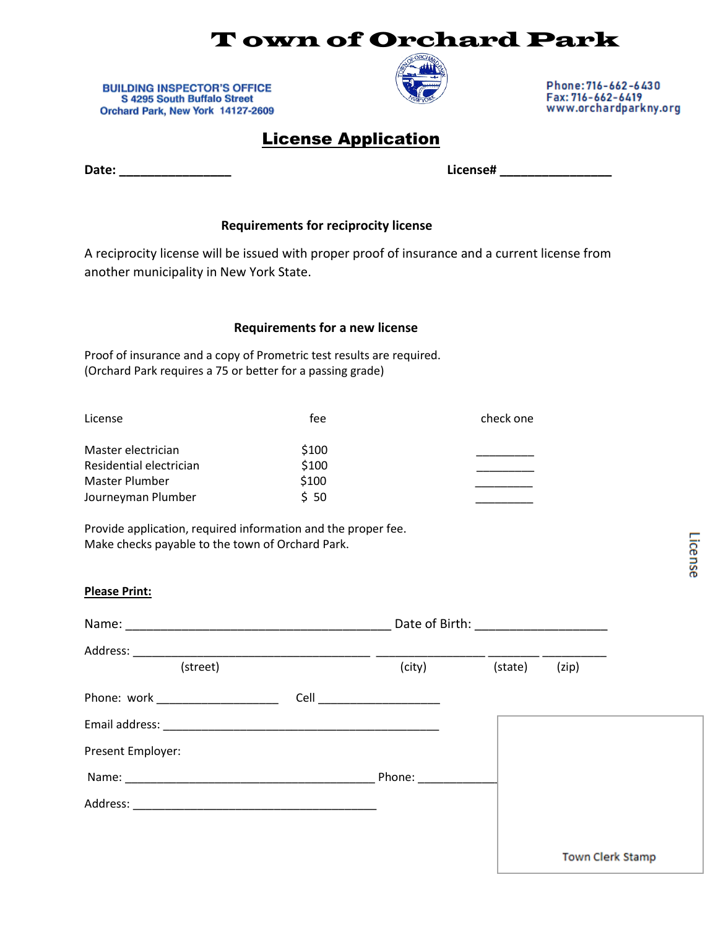## T own of Orchard Park

**BUILDING INSPECTOR'S OFFICE** S 4295 South Buffalo Street Orchard Park, New York 14127-2609



Phone: 716-662-6430 Fax: 716-662-6419 www.orchardparkny.org

| <b>License Application</b> |
|----------------------------|
|                            |

**Date: \_\_\_\_\_\_\_\_\_\_\_\_\_\_\_\_ License# \_\_\_\_\_\_\_\_\_\_\_\_\_\_\_\_**

**Please Print:**

### **Requirements for reciprocity license**

A reciprocity license will be issued with proper proof of insurance and a current license from another municipality in New York State.

### **Requirements for a new license**

Proof of insurance and a copy of Prometric test results are required. (Orchard Park requires a 75 or better for a passing grade)

| fee   | check one |
|-------|-----------|
| \$100 |           |
| \$100 |           |
| \$100 |           |
| \$50  |           |
|       |           |

Provide application, required information and the proper fee. Make checks payable to the town of Orchard Park.

|                   |        | Date of Birth: ________________________ |                         |
|-------------------|--------|-----------------------------------------|-------------------------|
| (street)          | (city) | (state)                                 | (zip)                   |
|                   |        |                                         |                         |
|                   |        |                                         |                         |
|                   |        |                                         |                         |
| Present Employer: |        |                                         |                         |
|                   | Phone: |                                         |                         |
|                   |        |                                         |                         |
|                   |        |                                         |                         |
|                   |        |                                         | <b>Town Clerk Stamp</b> |